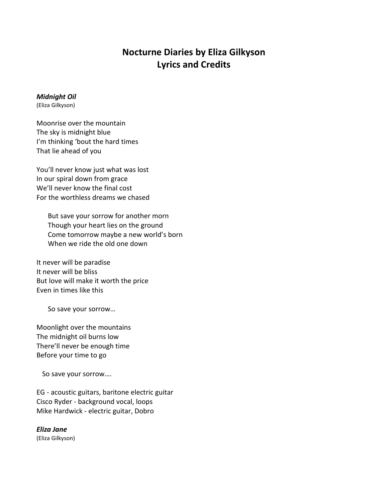# **Nocturne Diaries by Eliza Gilkyson Lyrics and Credits**

*Midnight Oil*

(Eliza Gilkyson)

Moonrise over the mountain The sky is midnight blue I'm thinking 'bout the hard times That lie ahead of you

You'll never know just what was lost In our spiral down from grace We'll never know the final cost For the worthless dreams we chased

But save your sorrow for another morn Though your heart lies on the ground Come tomorrow maybe a new world's born When we ride the old one down

It never will be paradise It never will be bliss But love will make it worth the price Even in times like this

So save your sorrow…

Moonlight over the mountains The midnight oil burns low There'll never be enough time Before your time to go

So save your sorrow….

EG - acoustic guitars, baritone electric guitar Cisco Ryder - background vocal, loops Mike Hardwick - electric guitar, Dobro

*Eliza Jane* (Eliza Gilkyson)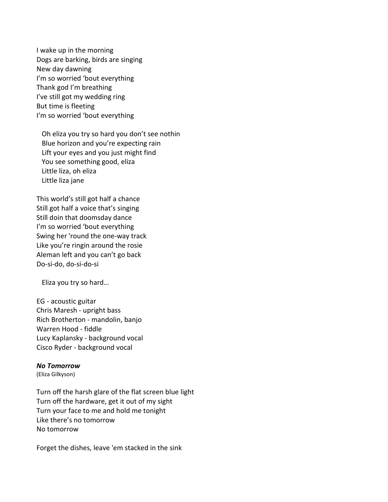I wake up in the morning Dogs are barking, birds are singing New day dawning I'm so worried 'bout everything Thank god I'm breathing I've still got my wedding ring But time is fleeting I'm so worried 'bout everything

 Oh eliza you try so hard you don't see nothin Blue horizon and you're expecting rain Lift your eyes and you just might find You see something good, eliza Little liza, oh eliza Little liza jane

This world's still got half a chance Still got half a voice that's singing Still doin that doomsday dance I'm so worried 'bout everything Swing her 'round the one-way track Like you're ringin around the rosie Aleman left and you can't go back Do-si-do, do-si-do-si

Eliza you try so hard…

EG - acoustic guitar Chris Maresh - upright bass Rich Brotherton - mandolin, banjo Warren Hood - fiddle Lucy Kaplansky - background vocal Cisco Ryder - background vocal

#### *No Tomorrow*

(Eliza Gilkyson)

Turn off the harsh glare of the flat screen blue light Turn off the hardware, get it out of my sight Turn your face to me and hold me tonight Like there's no tomorrow No tomorrow

Forget the dishes, leave 'em stacked in the sink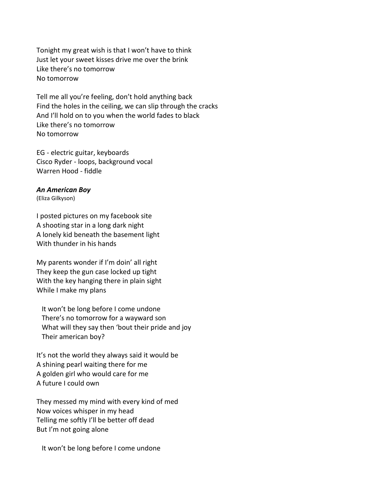Tonight my great wish is that I won't have to think Just let your sweet kisses drive me over the brink Like there's no tomorrow No tomorrow

Tell me all you're feeling, don't hold anything back Find the holes in the ceiling, we can slip through the cracks And I'll hold on to you when the world fades to black Like there's no tomorrow No tomorrow

EG - electric guitar, keyboards Cisco Ryder - loops, background vocal Warren Hood - fiddle

# *An American Boy*

(Eliza Gilkyson)

I posted pictures on my facebook site A shooting star in a long dark night A lonely kid beneath the basement light With thunder in his hands

My parents wonder if I'm doin' all right They keep the gun case locked up tight With the key hanging there in plain sight While I make my plans

 It won't be long before I come undone There's no tomorrow for a wayward son What will they say then 'bout their pride and joy Their american boy?

It's not the world they always said it would be A shining pearl waiting there for me A golden girl who would care for me A future I could own

They messed my mind with every kind of med Now voices whisper in my head Telling me softly I'll be better off dead But I'm not going alone

It won't be long before I come undone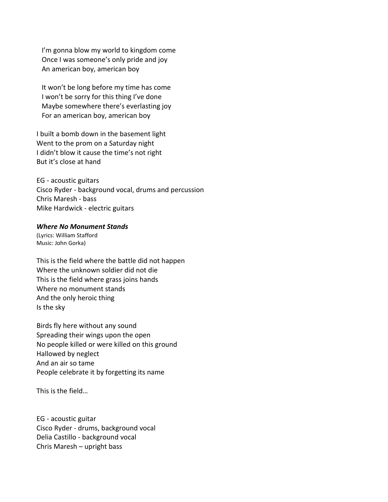I'm gonna blow my world to kingdom come Once I was someone's only pride and joy An american boy, american boy

 It won't be long before my time has come I won't be sorry for this thing I've done Maybe somewhere there's everlasting joy For an american boy, american boy

I built a bomb down in the basement light Went to the prom on a Saturday night I didn't blow it cause the time's not right But it's close at hand

EG - acoustic guitars Cisco Ryder - background vocal, drums and percussion Chris Maresh - bass Mike Hardwick - electric guitars

#### *Where No Monument Stands*

(Lyrics: William Stafford Music: John Gorka)

This is the field where the battle did not happen Where the unknown soldier did not die This is the field where grass joins hands Where no monument stands And the only heroic thing Is the sky

Birds fly here without any sound Spreading their wings upon the open No people killed or were killed on this ground Hallowed by neglect And an air so tame People celebrate it by forgetting its name

This is the field…

EG - acoustic guitar Cisco Ryder - drums, background vocal Delia Castillo - background vocal Chris Maresh – upright bass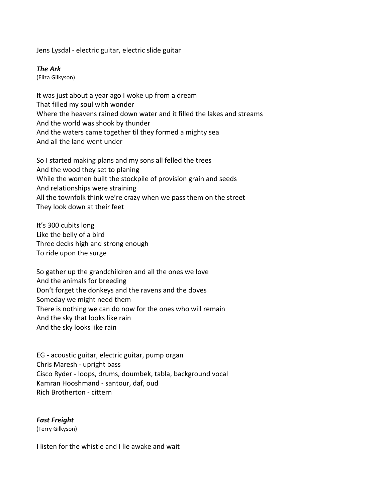Jens Lysdal - electric guitar, electric slide guitar

*The Ark*

(Eliza Gilkyson)

It was just about a year ago I woke up from a dream That filled my soul with wonder Where the heavens rained down water and it filled the lakes and streams And the world was shook by thunder And the waters came together til they formed a mighty sea And all the land went under

So I started making plans and my sons all felled the trees And the wood they set to planing While the women built the stockpile of provision grain and seeds And relationships were straining All the townfolk think we're crazy when we pass them on the street They look down at their feet

It's 300 cubits long Like the belly of a bird Three decks high and strong enough To ride upon the surge

So gather up the grandchildren and all the ones we love And the animals for breeding Don't forget the donkeys and the ravens and the doves Someday we might need them There is nothing we can do now for the ones who will remain And the sky that looks like rain And the sky looks like rain

EG - acoustic guitar, electric guitar, pump organ Chris Maresh - upright bass Cisco Ryder - loops, drums, doumbek, tabla, background vocal Kamran Hooshmand - santour, daf, oud Rich Brotherton - cittern

# *Fast Freight*

(Terry Gilkyson)

I listen for the whistle and I lie awake and wait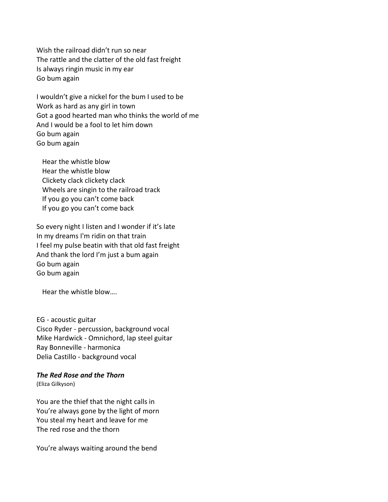Wish the railroad didn't run so near The rattle and the clatter of the old fast freight Is always ringin music in my ear Go bum again

I wouldn't give a nickel for the bum I used to be Work as hard as any girl in town Got a good hearted man who thinks the world of me And I would be a fool to let him down Go bum again Go bum again

Hear the whistle blow Hear the whistle blow Clickety clack clickety clack Wheels are singin to the railroad track If you go you can't come back If you go you can't come back

So every night I listen and I wonder if it's late In my dreams I'm ridin on that train I feel my pulse beatin with that old fast freight And thank the lord I'm just a bum again Go bum again Go bum again

Hear the whistle blow….

EG - acoustic guitar Cisco Ryder - percussion, background vocal Mike Hardwick - Omnichord, lap steel guitar Ray Bonneville - harmonica Delia Castillo - background vocal

# *The Red Rose and the Thorn*

(Eliza Gilkyson)

You are the thief that the night calls in You're always gone by the light of morn You steal my heart and leave for me The red rose and the thorn

You're always waiting around the bend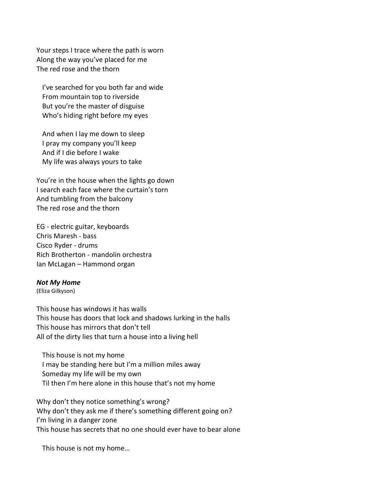Your steps I trace where the path is worn Along the way you've placed for me The red rose and the thorn

I've searched for you both far and wide From mountain top to riverside But you're the master of disguise Who's hiding right before my eyes

And when I lay me down to sleep I pray my company you'll keep And if I die before I wake My life was always yours to take

You're in the house when the lights go down I search each face where the curtain's torn And tumbling from the balcony The red rose and the thorn

EG - electric guitar, keyboards Chris Maresh - bass Cisco Ryder - drums Rich Brotherton - mandolin orchestra Ian McLagan – Hammond organ

#### *Not My Home*

(Eliza Gilkyson)

This house has windows it has walls This house has doors that lock and shadows lurking in the halls This house has mirrors that don't tell All of the dirty lies that turn a house into a living hell

This house is not my home I may be standing here but I'm a million miles away Someday my life will be my own Til then I'm here alone in this house that's not my home

Why don't they notice something's wrong? Why don't they ask me if there's something different going on? I'm living in a danger zone This house has secrets that no one should ever have to bear alone

This house is not my home…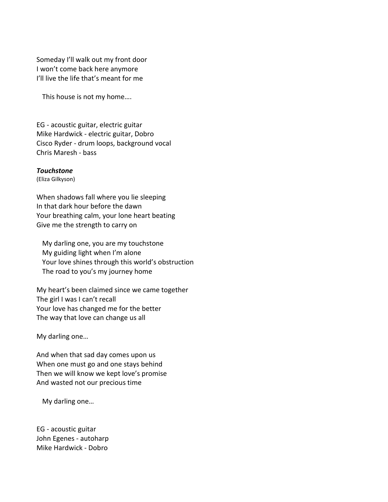Someday I'll walk out my front door I won't come back here anymore I'll live the life that's meant for me

This house is not my home….

EG - acoustic guitar, electric guitar Mike Hardwick - electric guitar, Dobro Cisco Ryder - drum loops, background vocal Chris Maresh - bass

#### *Touchstone*

(Eliza Gilkyson)

When shadows fall where you lie sleeping In that dark hour before the dawn Your breathing calm, your lone heart beating Give me the strength to carry on

My darling one, you are my touchstone My guiding light when I'm alone Your love shines through this world's obstruction The road to you's my journey home

My heart's been claimed since we came together The girl I was I can't recall Your love has changed me for the better The way that love can change us all

My darling one…

And when that sad day comes upon us When one must go and one stays behind Then we will know we kept love's promise And wasted not our precious time

My darling one…

EG - acoustic guitar John Egenes - autoharp Mike Hardwick - Dobro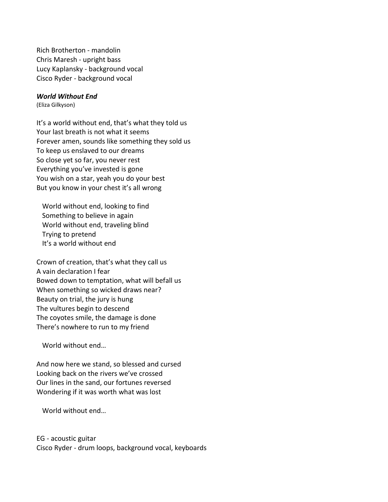Rich Brotherton - mandolin Chris Maresh - upright bass Lucy Kaplansky - background vocal Cisco Ryder - background vocal

#### *World Without End*

(Eliza Gilkyson)

It's a world without end, that's what they told us Your last breath is not what it seems Forever amen, sounds like something they sold us To keep us enslaved to our dreams So close yet so far, you never rest Everything you've invested is gone You wish on a star, yeah you do your best But you know in your chest it's all wrong

World without end, looking to find Something to believe in again World without end, traveling blind Trying to pretend It's a world without end

Crown of creation, that's what they call us A vain declaration I fear Bowed down to temptation, what will befall us When something so wicked draws near? Beauty on trial, the jury is hung The vultures begin to descend The coyotes smile, the damage is done There's nowhere to run to my friend

World without end…

And now here we stand, so blessed and cursed Looking back on the rivers we've crossed Our lines in the sand, our fortunes reversed Wondering if it was worth what was lost

World without end…

EG - acoustic guitar Cisco Ryder - drum loops, background vocal, keyboards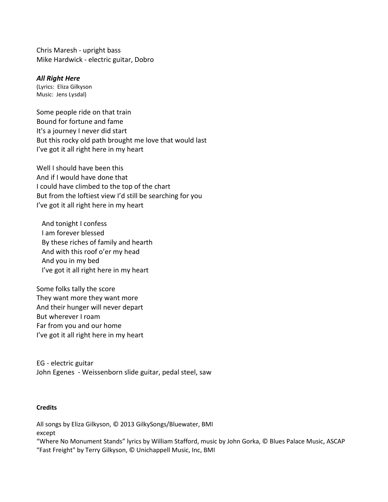Chris Maresh - upright bass Mike Hardwick - electric guitar, Dobro

# *All Right Here*

(Lyrics: Eliza Gilkyson Music: Jens Lysdal)

Some people ride on that train Bound for fortune and fame It's a journey I never did start But this rocky old path brought me love that would last I've got it all right here in my heart

Well I should have been this And if I would have done that I could have climbed to the top of the chart But from the loftiest view I'd still be searching for you I've got it all right here in my heart

 And tonight I confess I am forever blessed By these riches of family and hearth And with this roof o'er my head And you in my bed I've got it all right here in my heart

Some folks tally the score They want more they want more And their hunger will never depart But wherever I roam Far from you and our home I've got it all right here in my heart

EG - electric guitar John Egenes - Weissenborn slide guitar, pedal steel, saw

# **Credits**

All songs by Eliza Gilkyson, © 2013 GilkySongs/Bluewater, BMI except

"Where No Monument Stands" lyrics by William Stafford, music by John Gorka, © Blues Palace Music, ASCAP "Fast Freight" by Terry Gilkyson, © Unichappell Music, Inc, BMI